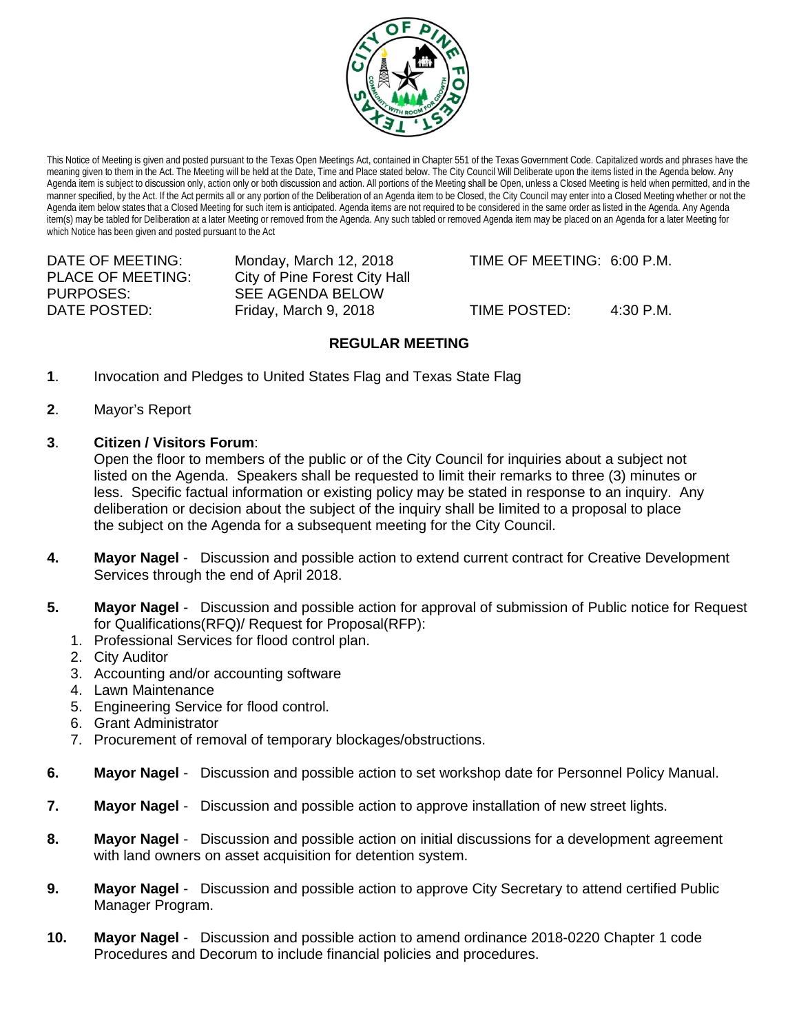

This Notice of Meeting is given and posted pursuant to the Texas Open Meetings Act, contained in Chapter 551 of the Texas Government Code. Capitalized words and phrases have the meaning given to them in the Act. The Meeting will be held at the Date, Time and Place stated below. The City Council Will Deliberate upon the items listed in the Agenda below. Any Agenda item is subject to discussion only, action only or both discussion and action. All portions of the Meeting shall be Open, unless a Closed Meeting is held when permitted, and in the manner specified, by the Act. If the Act permits all or any portion of the Deliberation of an Agenda item to be Closed, the City Council may enter into a Closed Meeting whether or not the Agenda item below states that a Closed Meeting for such item is anticipated. Agenda items are not required to be considered in the same order as listed in the Agenda. Any Agenda item(s) may be tabled for Deliberation at a later Meeting or removed from the Agenda. Any such tabled or removed Agenda item may be placed on an Agenda for a later Meeting for which Notice has been given and posted pursuant to the Act

PLACE OF MEETING: City of Pine Forest City Hall<br>PURPOSES: SEE AGENDA BELOW SEE AGENDA BELOW

DATE OF MEETING: Monday, March 12, 2018 TIME OF MEETING: 6:00 P.M.

DATE POSTED: Friday, March 9, 2018 TIME POSTED: 4:30 P.M.

## **REGULAR MEETING**

- **1**. Invocation and Pledges to United States Flag and Texas State Flag
- **2**. Mayor's Report
- **3**. **Citizen / Visitors Forum**:

Open the floor to members of the public or of the City Council for inquiries about a subject not listed on the Agenda. Speakers shall be requested to limit their remarks to three (3) minutes or less. Specific factual information or existing policy may be stated in response to an inquiry. Any deliberation or decision about the subject of the inquiry shall be limited to a proposal to place the subject on the Agenda for a subsequent meeting for the City Council.

- **4. Mayor Nagel** Discussion and possible action to extend current contract for Creative Development Services through the end of April 2018.
- **5. Mayor Nagel** Discussion and possible action for approval of submission of Public notice for Request for Qualifications(RFQ)/ Request for Proposal(RFP):
	- 1. Professional Services for flood control plan.
	- 2. City Auditor
	- 3. Accounting and/or accounting software
	- 4. Lawn Maintenance
	- 5. Engineering Service for flood control.
	- 6. Grant Administrator
	- 7. Procurement of removal of temporary blockages/obstructions.
- **6. Mayor Nagel** Discussion and possible action to set workshop date for Personnel Policy Manual.
- **7. Mayor Nagel** Discussion and possible action to approve installation of new street lights.
- **8. Mayor Nagel**  Discussion and possible action on initial discussions for a development agreement with land owners on asset acquisition for detention system.
- **9. Mayor Nagel** Discussion and possible action to approve City Secretary to attend certified Public Manager Program.
- **10. Mayor Nagel** Discussion and possible action to amend ordinance 2018-0220 Chapter 1 code Procedures and Decorum to include financial policies and procedures.